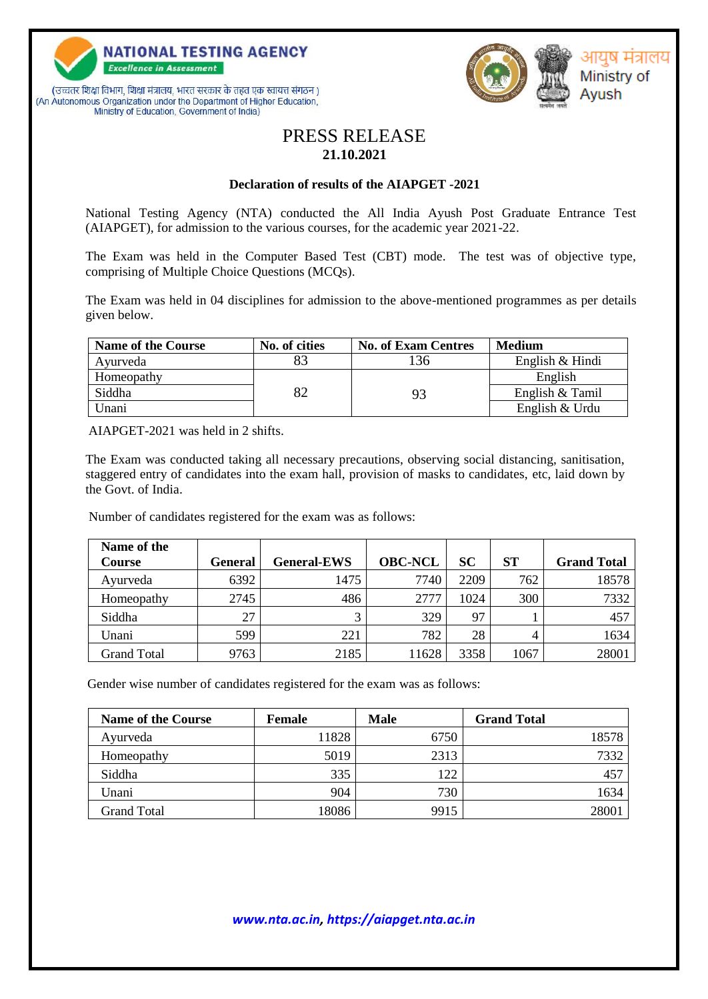





## PRESS RELEASE **21.10.2021**

## **Declaration of results of the AIAPGET -2021**

National Testing Agency (NTA) conducted the All India Ayush Post Graduate Entrance Test (AIAPGET), for admission to the various courses, for the academic year 2021-22.

The Exam was held in the Computer Based Test (CBT) mode. The test was of objective type, comprising of Multiple Choice Questions (MCQs).

The Exam was held in 04 disciplines for admission to the above-mentioned programmes as per details given below.

| <b>Name of the Course</b> | No. of cities | <b>No. of Exam Centres</b> | <b>Medium</b>   |
|---------------------------|---------------|----------------------------|-----------------|
| Ayurveda                  |               | 136                        | English & Hindi |
| Homeopathy                |               |                            | English         |
| Siddha                    | 82            | 93                         | English & Tamil |
| Unani                     |               |                            | English & Urdu  |

AIAPGET-2021 was held in 2 shifts.

The Exam was conducted taking all necessary precautions, observing social distancing, sanitisation, staggered entry of candidates into the exam hall, provision of masks to candidates, etc, laid down by the Govt. of India.

Number of candidates registered for the exam was as follows:

| Name of the<br><b>Course</b> | General | <b>General-EWS</b> | <b>OBC-NCL</b> | <b>SC</b> | SТ   | <b>Grand Total</b> |
|------------------------------|---------|--------------------|----------------|-----------|------|--------------------|
| Ayurveda                     | 6392    | 1475               | 7740           | 2209      | 762  | 18578              |
| Homeopathy                   | 2745    | 486                | 2777           | 1024      | 300  | 7332               |
| Siddha                       | 27      | 2                  | 329            | 97        |      | 457                |
| Unani                        | 599     | 221                | 782            | 28        | 4    | 1634               |
| <b>Grand Total</b>           | 9763    | 2185               | 11628          | 3358      | 1067 | 28001              |

Gender wise number of candidates registered for the exam was as follows:

| <b>Name of the Course</b> | <b>Female</b> | <b>Male</b> | <b>Grand Total</b> |
|---------------------------|---------------|-------------|--------------------|
| Ayurveda                  | 11828         | 6750        | 18578              |
| Homeopathy                | 5019          | 2313        | 7332               |
| Siddha                    | 335           | 122         | 457                |
| Unani                     | 904           | 730         | 1634               |
| <b>Grand Total</b>        | 18086         | 9915        | 28001              |

## *www.nta.ac.in, https://aiapget.nta.ac.in*